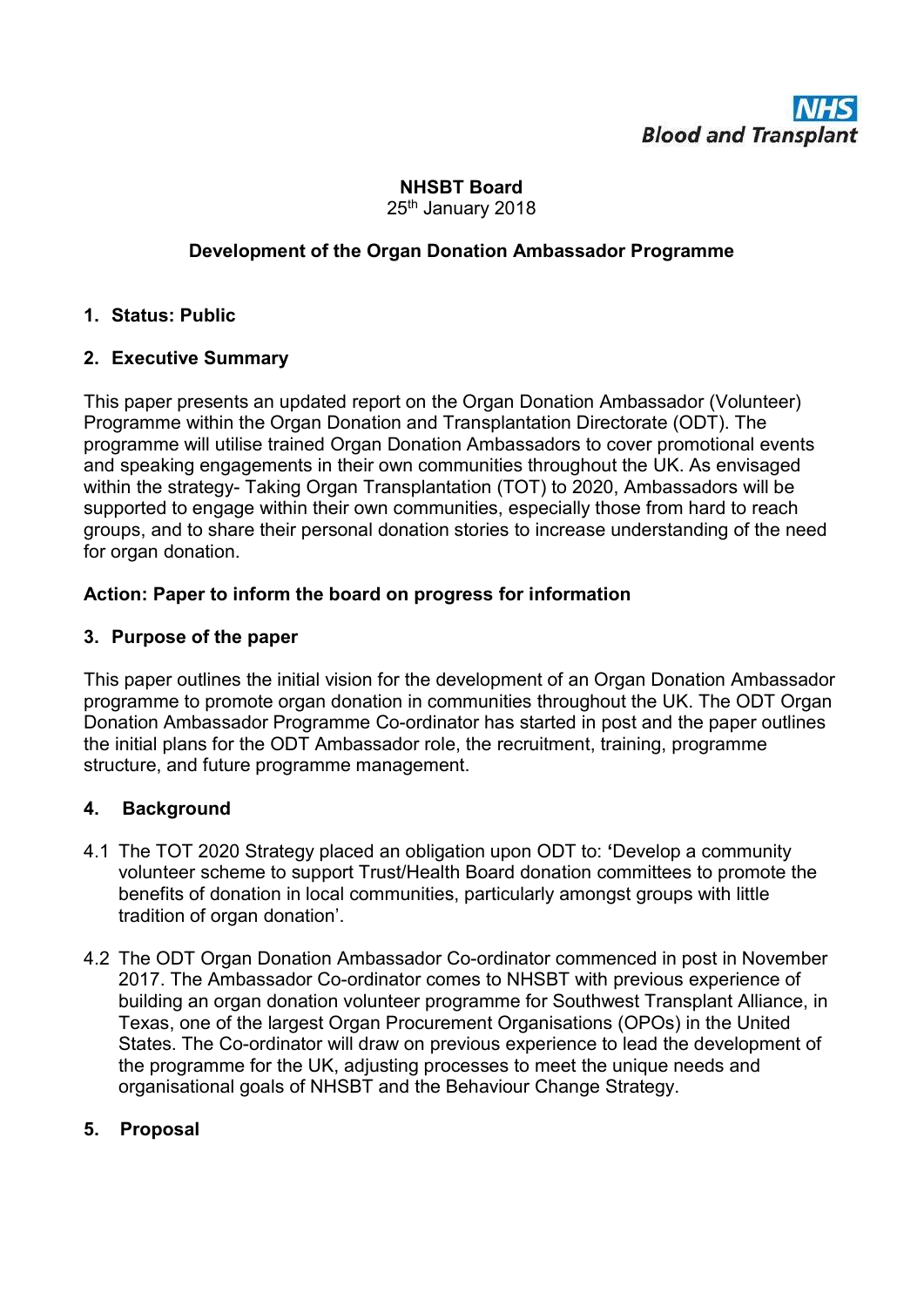

## NHSBT Board 25<sup>th</sup> January 2018

# Development of the Organ Donation Ambassador Programme

## 1. Status: Public

## 2. Executive Summary

This paper presents an updated report on the Organ Donation Ambassador (Volunteer) Programme within the Organ Donation and Transplantation Directorate (ODT). The programme will utilise trained Organ Donation Ambassadors to cover promotional events and speaking engagements in their own communities throughout the UK. As envisaged within the strategy- Taking Organ Transplantation (TOT) to 2020, Ambassadors will be supported to engage within their own communities, especially those from hard to reach groups, and to share their personal donation stories to increase understanding of the need for organ donation.

## Action: Paper to inform the board on progress for information

#### 3. Purpose of the paper

This paper outlines the initial vision for the development of an Organ Donation Ambassador programme to promote organ donation in communities throughout the UK. The ODT Organ Donation Ambassador Programme Co-ordinator has started in post and the paper outlines the initial plans for the ODT Ambassador role, the recruitment, training, programme structure, and future programme management.

## 4. Background

- 4.1 The TOT 2020 Strategy placed an obligation upon ODT to: 'Develop a community volunteer scheme to support Trust/Health Board donation committees to promote the benefits of donation in local communities, particularly amongst groups with little tradition of organ donation'.
- 4.2 The ODT Organ Donation Ambassador Co-ordinator commenced in post in November 2017. The Ambassador Co-ordinator comes to NHSBT with previous experience of building an organ donation volunteer programme for Southwest Transplant Alliance, in Texas, one of the largest Organ Procurement Organisations (OPOs) in the United States. The Co-ordinator will draw on previous experience to lead the development of the programme for the UK, adjusting processes to meet the unique needs and organisational goals of NHSBT and the Behaviour Change Strategy.

## 5. Proposal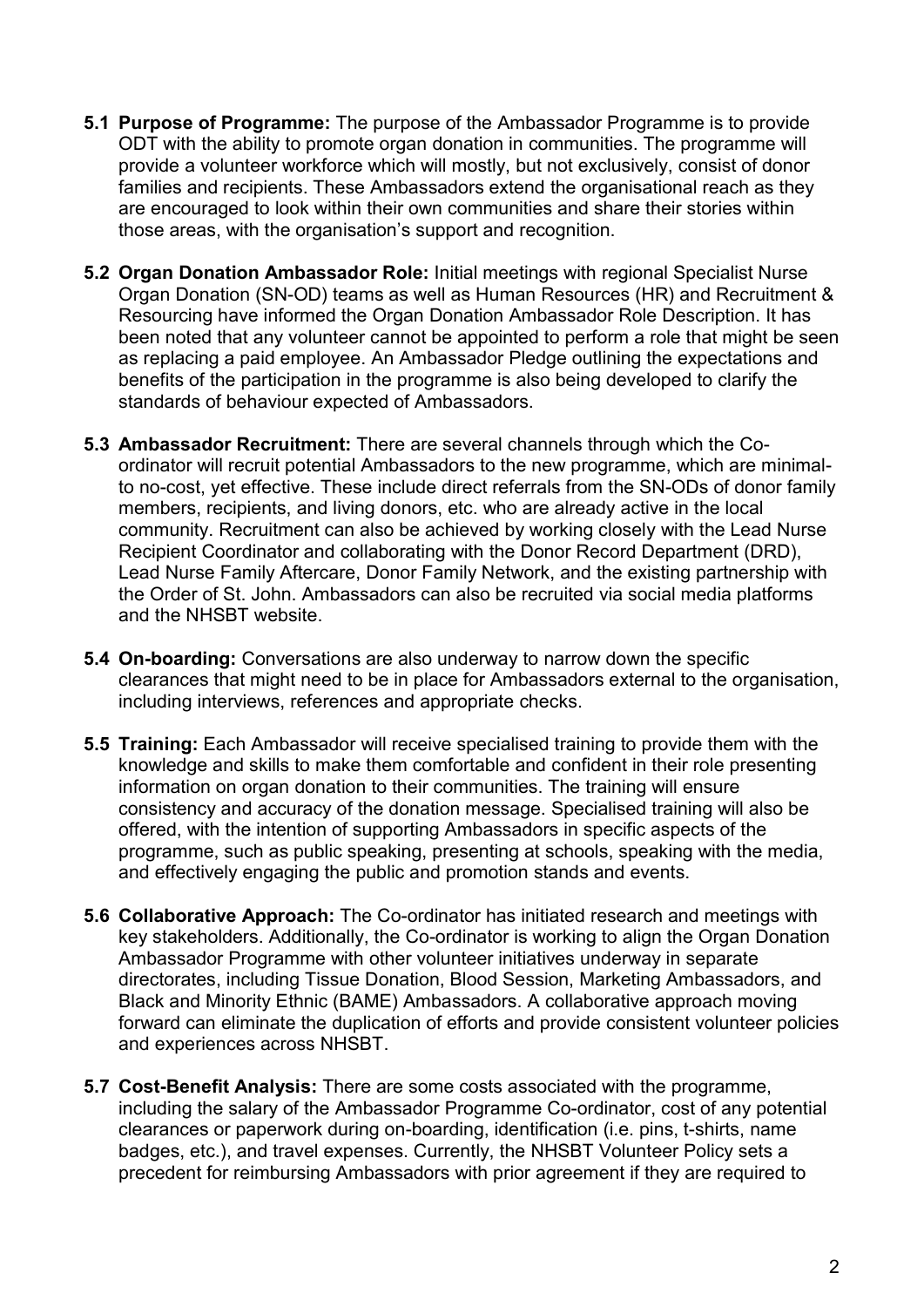- **5.1 Purpose of Programme:** The purpose of the Ambassador Programme is to provide ODT with the ability to promote organ donation in communities. The programme will provide a volunteer workforce which will mostly, but not exclusively, consist of donor families and recipients. These Ambassadors extend the organisational reach as they are encouraged to look within their own communities and share their stories within those areas, with the organisation's support and recognition.
- 5.2 Organ Donation Ambassador Role: Initial meetings with regional Specialist Nurse Organ Donation (SN-OD) teams as well as Human Resources (HR) and Recruitment & Resourcing have informed the Organ Donation Ambassador Role Description. It has been noted that any volunteer cannot be appointed to perform a role that might be seen as replacing a paid employee. An Ambassador Pledge outlining the expectations and benefits of the participation in the programme is also being developed to clarify the standards of behaviour expected of Ambassadors.
- 5.3 Ambassador Recruitment: There are several channels through which the Coordinator will recruit potential Ambassadors to the new programme, which are minimalto no-cost, yet effective. These include direct referrals from the SN-ODs of donor family members, recipients, and living donors, etc. who are already active in the local community. Recruitment can also be achieved by working closely with the Lead Nurse Recipient Coordinator and collaborating with the Donor Record Department (DRD), Lead Nurse Family Aftercare, Donor Family Network, and the existing partnership with the Order of St. John. Ambassadors can also be recruited via social media platforms and the NHSBT website.
- 5.4 On-boarding: Conversations are also underway to narrow down the specific clearances that might need to be in place for Ambassadors external to the organisation, including interviews, references and appropriate checks.
- 5.5 Training: Each Ambassador will receive specialised training to provide them with the knowledge and skills to make them comfortable and confident in their role presenting information on organ donation to their communities. The training will ensure consistency and accuracy of the donation message. Specialised training will also be offered, with the intention of supporting Ambassadors in specific aspects of the programme, such as public speaking, presenting at schools, speaking with the media, and effectively engaging the public and promotion stands and events.
- 5.6 Collaborative Approach: The Co-ordinator has initiated research and meetings with key stakeholders. Additionally, the Co-ordinator is working to align the Organ Donation Ambassador Programme with other volunteer initiatives underway in separate directorates, including Tissue Donation, Blood Session, Marketing Ambassadors, and Black and Minority Ethnic (BAME) Ambassadors. A collaborative approach moving forward can eliminate the duplication of efforts and provide consistent volunteer policies and experiences across NHSBT.
- 5.7 Cost-Benefit Analysis: There are some costs associated with the programme, including the salary of the Ambassador Programme Co-ordinator, cost of any potential clearances or paperwork during on-boarding, identification (i.e. pins, t-shirts, name badges, etc.), and travel expenses. Currently, the NHSBT Volunteer Policy sets a precedent for reimbursing Ambassadors with prior agreement if they are required to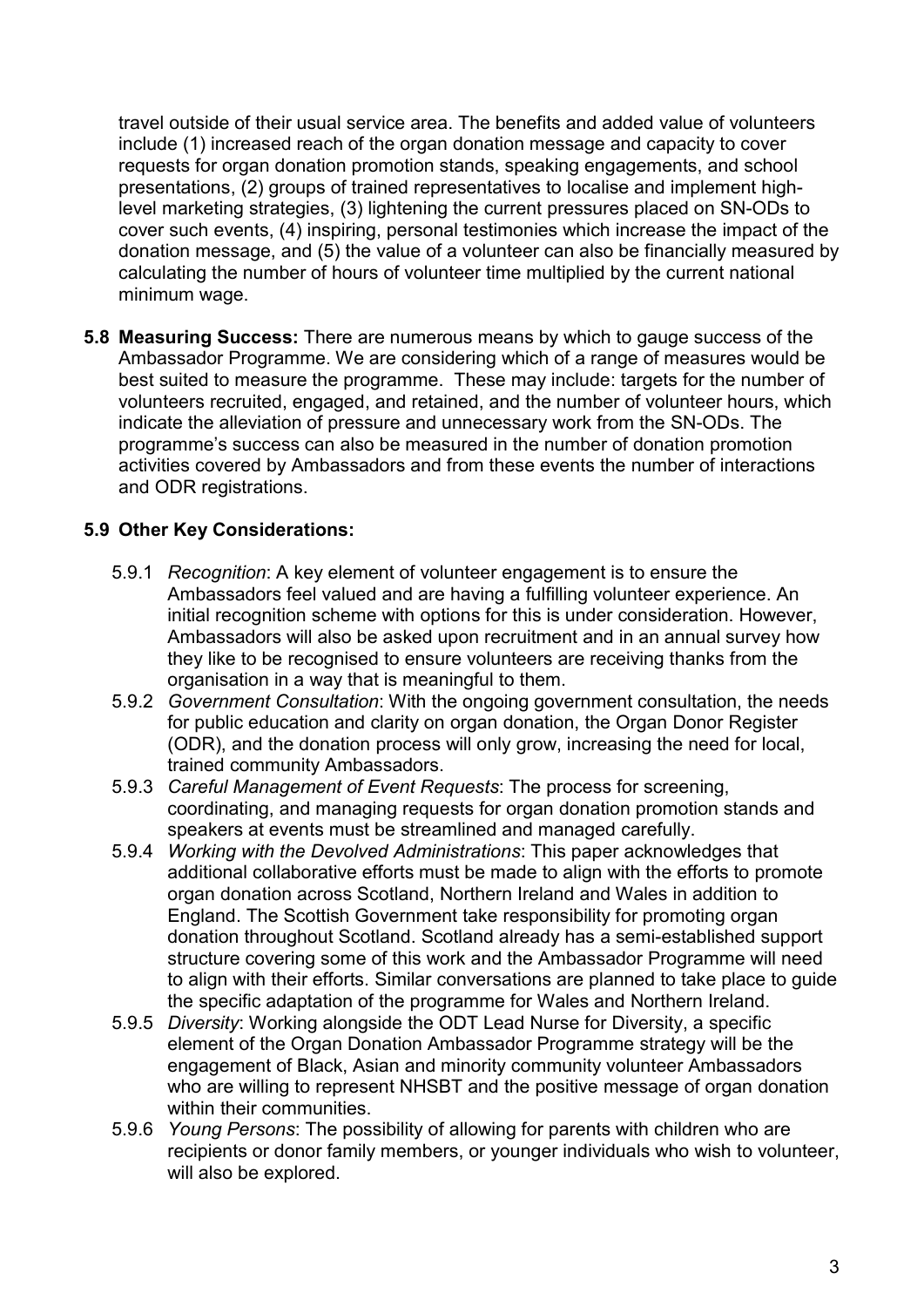travel outside of their usual service area. The benefits and added value of volunteers include (1) increased reach of the organ donation message and capacity to cover requests for organ donation promotion stands, speaking engagements, and school presentations, (2) groups of trained representatives to localise and implement highlevel marketing strategies, (3) lightening the current pressures placed on SN-ODs to cover such events, (4) inspiring, personal testimonies which increase the impact of the donation message, and (5) the value of a volunteer can also be financially measured by calculating the number of hours of volunteer time multiplied by the current national minimum wage.

5.8 Measuring Success: There are numerous means by which to gauge success of the Ambassador Programme. We are considering which of a range of measures would be best suited to measure the programme. These may include: targets for the number of volunteers recruited, engaged, and retained, and the number of volunteer hours, which indicate the alleviation of pressure and unnecessary work from the SN-ODs. The programme's success can also be measured in the number of donation promotion activities covered by Ambassadors and from these events the number of interactions and ODR registrations.

# 5.9 Other Key Considerations:

- 5.9.1 Recognition: A key element of volunteer engagement is to ensure the Ambassadors feel valued and are having a fulfilling volunteer experience. An initial recognition scheme with options for this is under consideration. However, Ambassadors will also be asked upon recruitment and in an annual survey how they like to be recognised to ensure volunteers are receiving thanks from the organisation in a way that is meaningful to them.
- 5.9.2 Government Consultation: With the ongoing government consultation, the needs for public education and clarity on organ donation, the Organ Donor Register (ODR), and the donation process will only grow, increasing the need for local, trained community Ambassadors.
- 5.9.3 Careful Management of Event Requests: The process for screening, coordinating, and managing requests for organ donation promotion stands and speakers at events must be streamlined and managed carefully.
- 5.9.4 Working with the Devolved Administrations: This paper acknowledges that additional collaborative efforts must be made to align with the efforts to promote organ donation across Scotland, Northern Ireland and Wales in addition to England. The Scottish Government take responsibility for promoting organ donation throughout Scotland. Scotland already has a semi-established support structure covering some of this work and the Ambassador Programme will need to align with their efforts. Similar conversations are planned to take place to guide the specific adaptation of the programme for Wales and Northern Ireland.
- 5.9.5 Diversity: Working alongside the ODT Lead Nurse for Diversity, a specific element of the Organ Donation Ambassador Programme strategy will be the engagement of Black, Asian and minority community volunteer Ambassadors who are willing to represent NHSBT and the positive message of organ donation within their communities.
- 5.9.6 Young Persons: The possibility of allowing for parents with children who are recipients or donor family members, or younger individuals who wish to volunteer, will also be explored.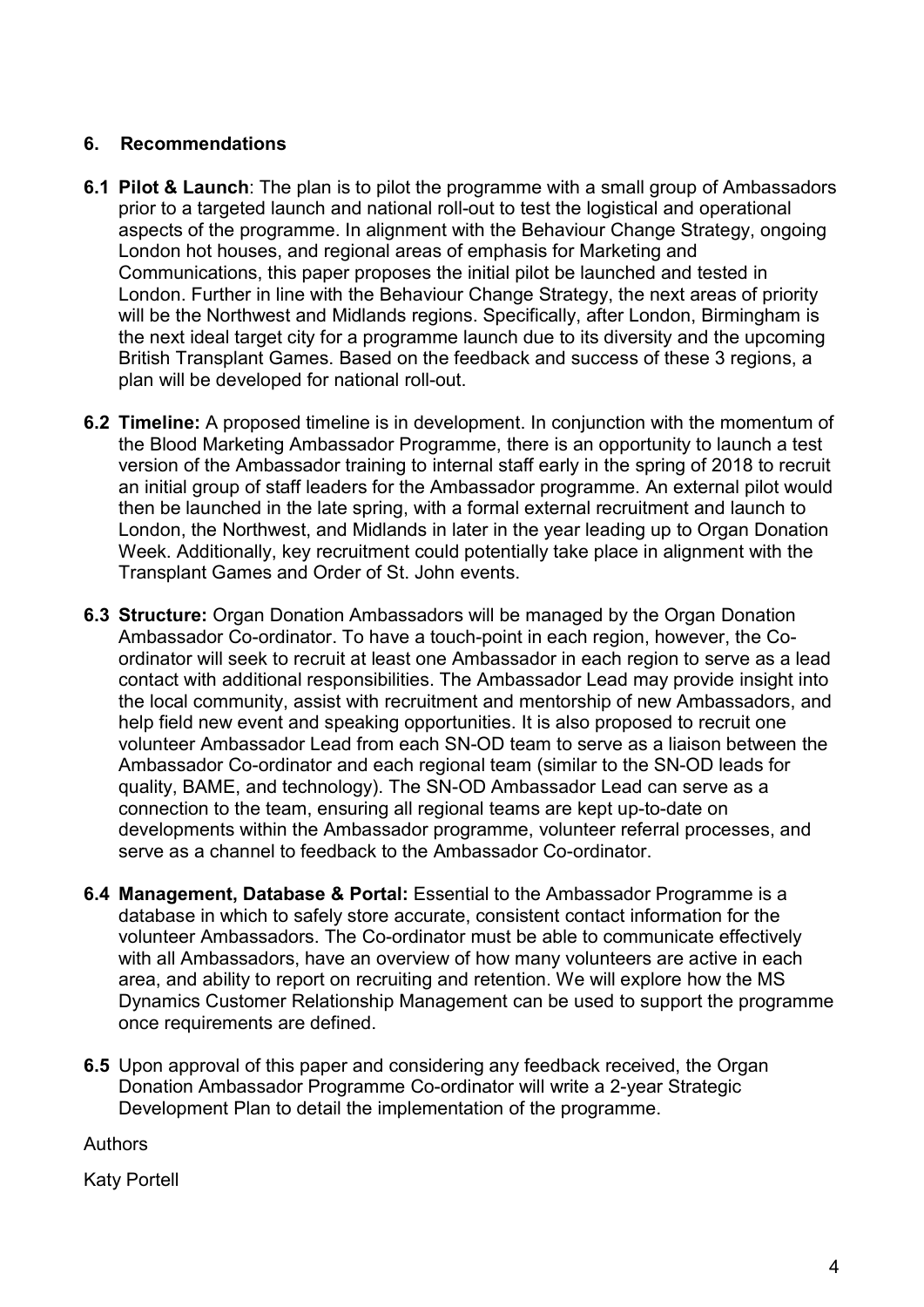# 6. Recommendations

- 6.1 Pilot & Launch: The plan is to pilot the programme with a small group of Ambassadors prior to a targeted launch and national roll-out to test the logistical and operational aspects of the programme. In alignment with the Behaviour Change Strategy, ongoing London hot houses, and regional areas of emphasis for Marketing and Communications, this paper proposes the initial pilot be launched and tested in London. Further in line with the Behaviour Change Strategy, the next areas of priority will be the Northwest and Midlands regions. Specifically, after London, Birmingham is the next ideal target city for a programme launch due to its diversity and the upcoming British Transplant Games. Based on the feedback and success of these 3 regions, a plan will be developed for national roll-out.
- 6.2 Timeline: A proposed timeline is in development. In conjunction with the momentum of the Blood Marketing Ambassador Programme, there is an opportunity to launch a test version of the Ambassador training to internal staff early in the spring of 2018 to recruit an initial group of staff leaders for the Ambassador programme. An external pilot would then be launched in the late spring, with a formal external recruitment and launch to London, the Northwest, and Midlands in later in the year leading up to Organ Donation Week. Additionally, key recruitment could potentially take place in alignment with the Transplant Games and Order of St. John events.
- 6.3 Structure: Organ Donation Ambassadors will be managed by the Organ Donation Ambassador Co-ordinator. To have a touch-point in each region, however, the Coordinator will seek to recruit at least one Ambassador in each region to serve as a lead contact with additional responsibilities. The Ambassador Lead may provide insight into the local community, assist with recruitment and mentorship of new Ambassadors, and help field new event and speaking opportunities. It is also proposed to recruit one volunteer Ambassador Lead from each SN-OD team to serve as a liaison between the Ambassador Co-ordinator and each regional team (similar to the SN-OD leads for quality, BAME, and technology). The SN-OD Ambassador Lead can serve as a connection to the team, ensuring all regional teams are kept up-to-date on developments within the Ambassador programme, volunteer referral processes, and serve as a channel to feedback to the Ambassador Co-ordinator.
- 6.4 Management, Database & Portal: Essential to the Ambassador Programme is a database in which to safely store accurate, consistent contact information for the volunteer Ambassadors. The Co-ordinator must be able to communicate effectively with all Ambassadors, have an overview of how many volunteers are active in each area, and ability to report on recruiting and retention. We will explore how the MS Dynamics Customer Relationship Management can be used to support the programme once requirements are defined.
- 6.5 Upon approval of this paper and considering any feedback received, the Organ Donation Ambassador Programme Co-ordinator will write a 2-year Strategic Development Plan to detail the implementation of the programme.

Authors

Katy Portell